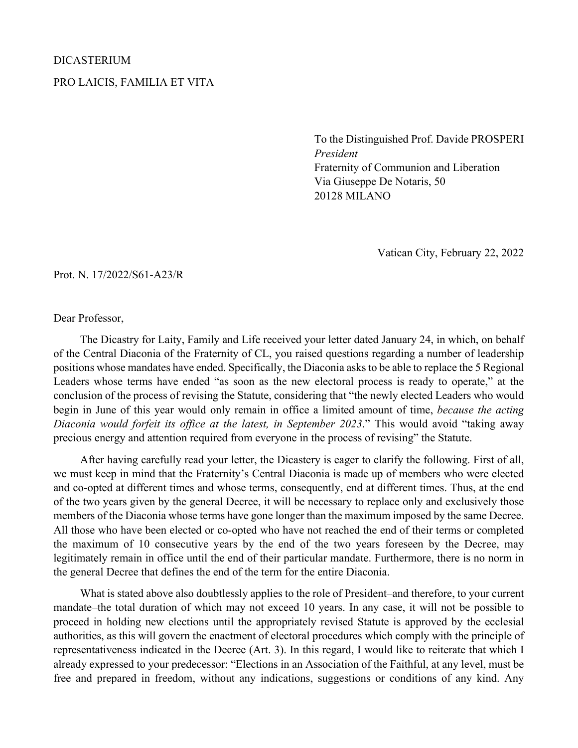## DICASTERIUM PRO LAICIS, FAMILIA ET VITA

To the Distinguished Prof. Davide PROSPERI *President* Fraternity of Communion and Liberation Via Giuseppe De Notaris, 50 20128 MILANO

Vatican City, February 22, 2022

Prot. N. 17/2022/S61-A23/R

Dear Professor,

The Dicastry for Laity, Family and Life received your letter dated January 24, in which, on behalf of the Central Diaconia of the Fraternity of CL, you raised questions regarding a number of leadership positions whose mandates have ended. Specifically, the Diaconia asks to be able to replace the 5 Regional Leaders whose terms have ended "as soon as the new electoral process is ready to operate," at the conclusion of the process of revising the Statute, considering that "the newly elected Leaders who would begin in June of this year would only remain in office a limited amount of time, *because the acting Diaconia would forfeit its office at the latest, in September 2023*." This would avoid "taking away precious energy and attention required from everyone in the process of revising" the Statute.

After having carefully read your letter, the Dicastery is eager to clarify the following. First of all, we must keep in mind that the Fraternity's Central Diaconia is made up of members who were elected and co-opted at different times and whose terms, consequently, end at different times. Thus, at the end of the two years given by the general Decree, it will be necessary to replace only and exclusively those members of the Diaconia whose terms have gone longer than the maximum imposed by the same Decree. All those who have been elected or co-opted who have not reached the end of their terms or completed the maximum of 10 consecutive years by the end of the two years foreseen by the Decree, may legitimately remain in office until the end of their particular mandate. Furthermore, there is no norm in the general Decree that defines the end of the term for the entire Diaconia.

What is stated above also doubtlessly applies to the role of President–and therefore, to your current mandate–the total duration of which may not exceed 10 years. In any case, it will not be possible to proceed in holding new elections until the appropriately revised Statute is approved by the ecclesial authorities, as this will govern the enactment of electoral procedures which comply with the principle of representativeness indicated in the Decree (Art. 3). In this regard, I would like to reiterate that which I already expressed to your predecessor: "Elections in an Association of the Faithful, at any level, must be free and prepared in freedom, without any indications, suggestions or conditions of any kind. Any